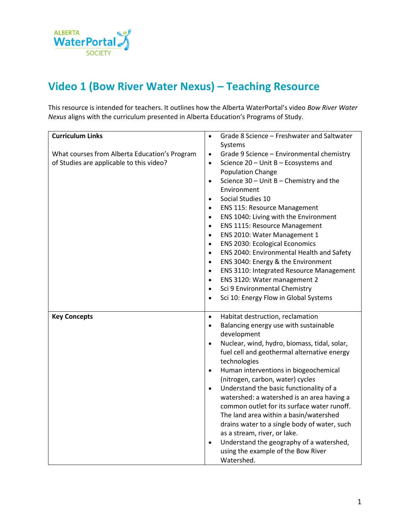

## **Video 1 (Bow River Water Nexus) – Teaching Resource**

This resource is intended for teachers. It outlines how the Alberta WaterPortal's video *Bow River Water Nexus* aligns with the curriculum presented in Alberta Education's Programs of Study.

| <b>Curriculum Links</b>                       | Grade 8 Science - Freshwater and Saltwater<br>$\bullet$      |
|-----------------------------------------------|--------------------------------------------------------------|
|                                               | Systems                                                      |
| What courses from Alberta Education's Program | Grade 9 Science - Environmental chemistry<br>$\bullet$       |
| of Studies are applicable to this video?      | Science 20 - Unit B - Ecosystems and<br>$\bullet$            |
|                                               | <b>Population Change</b>                                     |
|                                               | Science $30$ – Unit B – Chemistry and the<br>$\bullet$       |
|                                               | Environment                                                  |
|                                               | Social Studies 10<br>$\bullet$                               |
|                                               | <b>ENS 115: Resource Management</b><br>$\bullet$             |
|                                               | ENS 1040: Living with the Environment<br>$\bullet$           |
|                                               | <b>ENS 1115: Resource Management</b><br>$\bullet$            |
|                                               | ENS 2010: Water Management 1<br>$\bullet$                    |
|                                               | <b>ENS 2030: Ecological Economics</b><br>$\bullet$           |
|                                               | ENS 2040: Environmental Health and Safety<br>$\bullet$       |
|                                               | ENS 3040: Energy & the Environment<br>$\bullet$              |
|                                               | <b>ENS 3110: Integrated Resource Management</b><br>$\bullet$ |
|                                               | ENS 3120: Water management 2<br>$\bullet$                    |
|                                               | Sci 9 Environmental Chemistry<br>$\bullet$                   |
|                                               | Sci 10: Energy Flow in Global Systems<br>$\bullet$           |
|                                               |                                                              |
| <b>Key Concepts</b>                           | Habitat destruction, reclamation<br>$\bullet$                |
|                                               | Balancing energy use with sustainable<br>$\bullet$           |
|                                               | development                                                  |
|                                               | Nuclear, wind, hydro, biomass, tidal, solar,<br>$\bullet$    |
|                                               | fuel cell and geothermal alternative energy                  |
|                                               | technologies                                                 |
|                                               | Human interventions in biogeochemical<br>$\bullet$           |
|                                               | (nitrogen, carbon, water) cycles                             |
|                                               | Understand the basic functionality of a<br>$\bullet$         |
|                                               | watershed: a watershed is an area having a                   |
|                                               | common outlet for its surface water runoff.                  |
|                                               | The land area within a basin/watershed                       |
|                                               | drains water to a single body of water, such                 |
|                                               | as a stream, river, or lake.                                 |
|                                               | Understand the geography of a watershed,<br>$\bullet$        |
|                                               |                                                              |
|                                               | using the example of the Bow River                           |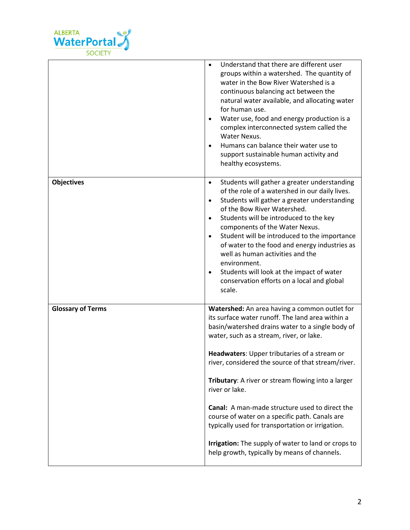

|                          | Understand that there are different user<br>$\bullet$<br>groups within a watershed. The quantity of<br>water in the Bow River Watershed is a<br>continuous balancing act between the<br>natural water available, and allocating water<br>for human use.<br>Water use, food and energy production is a<br>complex interconnected system called the<br>Water Nexus.<br>Humans can balance their water use to<br>support sustainable human activity and<br>healthy ecosystems.                                                                                                                                                                           |
|--------------------------|-------------------------------------------------------------------------------------------------------------------------------------------------------------------------------------------------------------------------------------------------------------------------------------------------------------------------------------------------------------------------------------------------------------------------------------------------------------------------------------------------------------------------------------------------------------------------------------------------------------------------------------------------------|
| <b>Objectives</b>        | Students will gather a greater understanding<br>$\bullet$<br>of the role of a watershed in our daily lives.<br>Students will gather a greater understanding<br>$\bullet$<br>of the Bow River Watershed.<br>Students will be introduced to the key<br>$\bullet$<br>components of the Water Nexus.<br>Student will be introduced to the importance<br>$\bullet$<br>of water to the food and energy industries as<br>well as human activities and the<br>environment.<br>Students will look at the impact of water<br>conservation efforts on a local and global<br>scale.                                                                               |
| <b>Glossary of Terms</b> | Watershed: An area having a common outlet for<br>its surface water runoff. The land area within a<br>basin/watershed drains water to a single body of<br>water, such as a stream, river, or lake.<br>Headwaters: Upper tributaries of a stream or<br>river, considered the source of that stream/river.<br>Tributary: A river or stream flowing into a larger<br>river or lake.<br><b>Canal:</b> A man-made structure used to direct the<br>course of water on a specific path. Canals are<br>typically used for transportation or irrigation.<br>Irrigation: The supply of water to land or crops to<br>help growth, typically by means of channels. |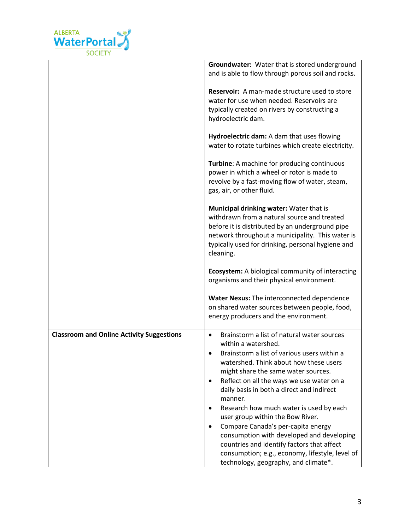

|                                                  | Groundwater: Water that is stored underground<br>and is able to flow through porous soil and rocks.                                                                                                                                                                                                                                                                                                                                                                                                                                                                                                                                                                        |
|--------------------------------------------------|----------------------------------------------------------------------------------------------------------------------------------------------------------------------------------------------------------------------------------------------------------------------------------------------------------------------------------------------------------------------------------------------------------------------------------------------------------------------------------------------------------------------------------------------------------------------------------------------------------------------------------------------------------------------------|
|                                                  | Reservoir: A man-made structure used to store<br>water for use when needed. Reservoirs are<br>typically created on rivers by constructing a<br>hydroelectric dam.                                                                                                                                                                                                                                                                                                                                                                                                                                                                                                          |
|                                                  | Hydroelectric dam: A dam that uses flowing<br>water to rotate turbines which create electricity.                                                                                                                                                                                                                                                                                                                                                                                                                                                                                                                                                                           |
|                                                  | Turbine: A machine for producing continuous<br>power in which a wheel or rotor is made to<br>revolve by a fast-moving flow of water, steam,<br>gas, air, or other fluid.                                                                                                                                                                                                                                                                                                                                                                                                                                                                                                   |
|                                                  | Municipal drinking water: Water that is<br>withdrawn from a natural source and treated<br>before it is distributed by an underground pipe<br>network throughout a municipality. This water is<br>typically used for drinking, personal hygiene and<br>cleaning.                                                                                                                                                                                                                                                                                                                                                                                                            |
|                                                  | <b>Ecosystem:</b> A biological community of interacting<br>organisms and their physical environment.                                                                                                                                                                                                                                                                                                                                                                                                                                                                                                                                                                       |
|                                                  | Water Nexus: The interconnected dependence<br>on shared water sources between people, food,<br>energy producers and the environment.                                                                                                                                                                                                                                                                                                                                                                                                                                                                                                                                       |
| <b>Classroom and Online Activity Suggestions</b> | Brainstorm a list of natural water sources<br>$\bullet$<br>within a watershed.<br>Brainstorm a list of various users within a<br>$\bullet$<br>watershed. Think about how these users<br>might share the same water sources.<br>Reflect on all the ways we use water on a<br>$\bullet$<br>daily basis in both a direct and indirect<br>manner.<br>Research how much water is used by each<br>٠<br>user group within the Bow River.<br>Compare Canada's per-capita energy<br>$\bullet$<br>consumption with developed and developing<br>countries and identify factors that affect<br>consumption; e.g., economy, lifestyle, level of<br>technology, geography, and climate*. |